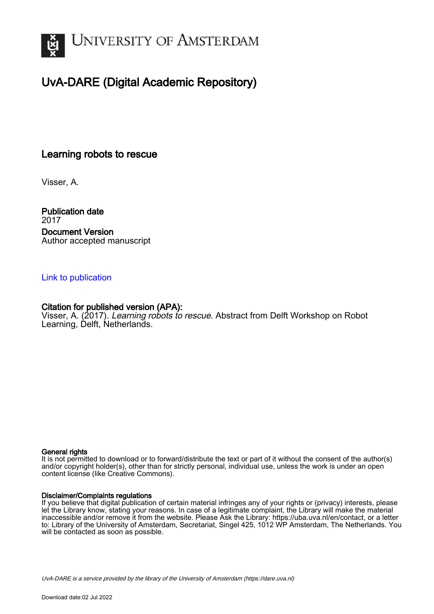

# UvA-DARE (Digital Academic Repository)

## Learning robots to rescue

Visser, A.

Publication date 2017 Document Version Author accepted manuscript

### [Link to publication](https://dare.uva.nl/personal/pure/en/publications/learning-robots-to-rescue(87386b4f-0c71-4735-85a6-13b0fb75d0f5).html)

### Citation for published version (APA):

Visser, A. (2017). Learning robots to rescue. Abstract from Delft Workshop on Robot Learning, Delft, Netherlands.

### General rights

It is not permitted to download or to forward/distribute the text or part of it without the consent of the author(s) and/or copyright holder(s), other than for strictly personal, individual use, unless the work is under an open content license (like Creative Commons).

### Disclaimer/Complaints regulations

If you believe that digital publication of certain material infringes any of your rights or (privacy) interests, please let the Library know, stating your reasons. In case of a legitimate complaint, the Library will make the material inaccessible and/or remove it from the website. Please Ask the Library: https://uba.uva.nl/en/contact, or a letter to: Library of the University of Amsterdam, Secretariat, Singel 425, 1012 WP Amsterdam, The Netherlands. You will be contacted as soon as possible.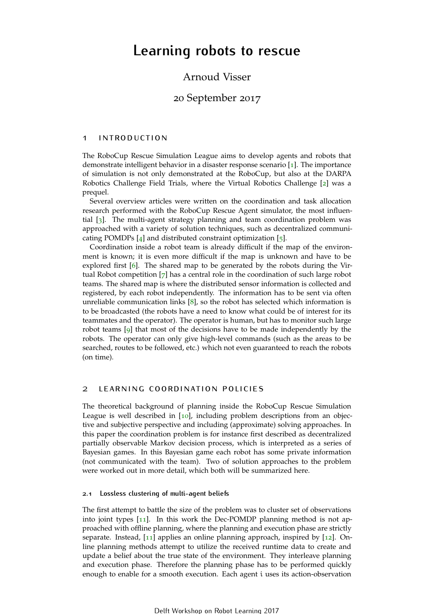# **Learning robots to rescue**

## Arnoud Visser

### 20 September 2017

#### 1 introduction

The RoboCup Rescue Simulation League aims to develop agents and robots that demonstrate intelligent behavior in a disaster response scenario [[1](#page-3-0)]. The importance of simulation is not only demonstrated at the RoboCup, but also at the DARPA Robotics Challenge Field Trials, where the Virtual Robotics Challenge [[2](#page-3-1)] was a prequel.

Several overview articles were written on the coordination and task allocation research performed with the RoboCup Rescue Agent simulator, the most influential [[3](#page-3-2)]. The multi-agent strategy planning and team coordination problem was approached with a variety of solution techniques, such as decentralized communicating POMDPs  $[4]$  $[4]$  $[4]$  and distributed constraint optimization  $[5]$  $[5]$  $[5]$ .

Coordination inside a robot team is already difficult if the map of the environment is known; it is even more difficult if the map is unknown and have to be explored first [[6](#page-3-5)]. The shared map to be generated by the robots during the Virtual Robot competition [[7](#page-3-6)] has a central role in the coordination of such large robot teams. The shared map is where the distributed sensor information is collected and registered, by each robot independently. The information has to be sent via often unreliable communication links [[8](#page-3-7)], so the robot has selected which information is to be broadcasted (the robots have a need to know what could be of interest for its teammates and the operator). The operator is human, but has to monitor such large robot teams [[9](#page-3-8)] that most of the decisions have to be made independently by the robots. The operator can only give high-level commands (such as the areas to be searched, routes to be followed, etc.) which not even guaranteed to reach the robots (on time).

### 2 learning coordination policies

The theoretical background of planning inside the RoboCup Rescue Simulation League is well described in [[10](#page-3-9)], including problem descriptions from an objective and subjective perspective and including (approximate) solving approaches. In this paper the coordination problem is for instance first described as decentralized partially observable Markov decision process, which is interpreted as a series of Bayesian games. In this Bayesian game each robot has some private information (not communicated with the team). Two of solution approaches to the problem were worked out in more detail, which both will be summarized here.

#### <span id="page-1-0"></span>**2.1 Lossless clustering of multi-agent beliefs**

The first attempt to battle the size of the problem was to cluster set of observations into joint types [[11](#page-3-10)]. In this work the Dec-POMDP planning method is not approached with offline planning, where the planning and execution phase are strictly separate. Instead, [[11](#page-3-10)] applies an online planning approach, inspired by [[12](#page-3-11)]. Online planning methods attempt to utilize the received runtime data to create and update a belief about the true state of the environment. They interleave planning and execution phase. Therefore the planning phase has to be performed quickly enough to enable for a smooth execution. Each agent i uses its action-observation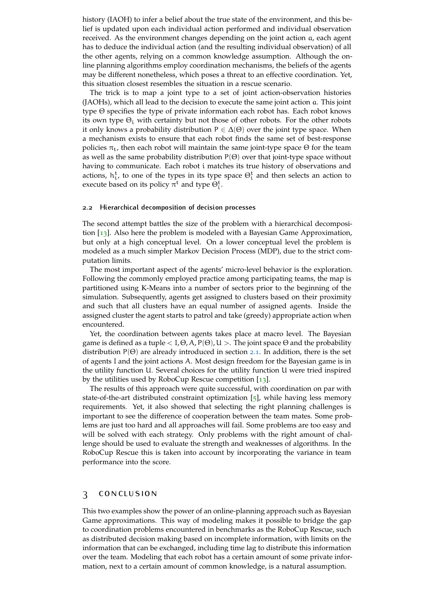history (IAOH) to infer a belief about the true state of the environment, and this belief is updated upon each individual action performed and individual observation received. As the environment changes depending on the joint action a, each agent has to deduce the individual action (and the resulting individual observation) of all the other agents, relying on a common knowledge assumption. Although the online planning algorithms employ coordination mechanisms, the beliefs of the agents may be different nonetheless, which poses a threat to an effective coordination. Yet, this situation closest resembles the situation in a rescue scenario.

The trick is to map a joint type to a set of joint action-observation histories (JAOHs), which all lead to the decision to execute the same joint action a. This joint type Θ specifies the type of private information each robot has. Each robot knows its own type  $\Theta_i$  with certainty but not those of other robots. For the other robots it only knows a probability distribution  $P \in \Delta(\Theta)$  over the joint type space. When a mechanism exists to ensure that each robot finds the same set of best-response policies  $\pi_t$ , then each robot will maintain the same joint-type space Θ for the team as well as the same probability distribution  $P(\Theta)$  over that joint-type space without having to communicate. Each robot i matches its true history of observations and actions,  $h_i^t$ , to one of the types in its type space  $\Theta_i^t$  and then selects an action to execute based on its policy  $\pi^t$  and type  $\Theta_i^t$ .

#### **2.2 Hierarchical decomposition of decision processes**

The second attempt battles the size of the problem with a hierarchical decomposition [[13](#page-3-12)]. Also here the problem is modeled with a Bayesian Game Approximation, but only at a high conceptual level. On a lower conceptual level the problem is modeled as a much simpler Markov Decision Process (MDP), due to the strict computation limits.

The most important aspect of the agents' micro-level behavior is the exploration. Following the commonly employed practice among participating teams, the map is partitioned using K-Means into a number of sectors prior to the beginning of the simulation. Subsequently, agents get assigned to clusters based on their proximity and such that all clusters have an equal number of assigned agents. Inside the assigned cluster the agent starts to patrol and take (greedy) appropriate action when encountered.

Yet, the coordination between agents takes place at macro level. The Bayesian game is defined as a tuple  $\langle I, \Theta, A, P(\Theta), U \rangle$ . The joint space  $\Theta$  and the probability distribution  $P(\Theta)$  are already introduced in section [2](#page-1-0).1. In addition, there is the set of agents I and the joint actions A. Most design freedom for the Bayesian game is in the utility function U. Several choices for the utility function U were tried inspired by the utilities used by RoboCup Rescue competition [[13](#page-3-12)].

The results of this approach were quite successful, with coordination on par with state-of-the-art distributed constraint optimization [[5](#page-3-4)], while having less memory requirements. Yet, it also showed that selecting the right planning challenges is important to see the difference of cooperation between the team mates. Some problems are just too hard and all approaches will fail. Some problems are too easy and will be solved with each strategy. Only problems with the right amount of challenge should be used to evaluate the strength and weaknesses of algorithms. In the RoboCup Rescue this is taken into account by incorporating the variance in team performance into the score.

#### 3 conclusion

This two examples show the power of an online-planning approach such as Bayesian Game approximations. This way of modeling makes it possible to bridge the gap to coordination problems encountered in benchmarks as the RoboCup Rescue, such as distributed decision making based on incomplete information, with limits on the information that can be exchanged, including time lag to distribute this information over the team. Modeling that each robot has a certain amount of some private information, next to a certain amount of common knowledge, is a natural assumption.